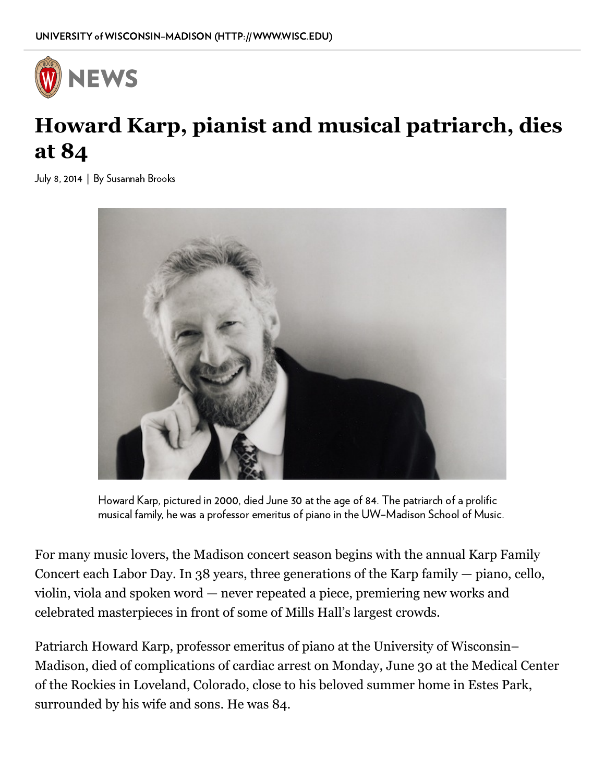

## **Howard Karp, pianist and musical patriarch, dies at 84**

July 8, 2014 | By [Susannah](mailto:srbrooks2@wisc.edu) Brooks



Howard Karp, pictured in 2000, died June 30 at the age of 84. The patriarch of a prolific musical family, he was a professor emeritus of piano in the UW–Madison School of Music.

For many music lovers, the Madison concert season begins with the annual Karp Family Concert each Labor Day. In 38 years, three generations of the Karp family — piano, cello, violin, viola and spoken word — never repeated a piece, premiering new works and celebrated masterpieces in front of some of Mills Hall's largest crowds.

Patriarch Howard Karp, professor emeritus of piano at the University of Wisconsin– Madison, died of complications of cardiac arrest on Monday, June 30 at the Medical Center of the Rockies in Loveland, Colorado, close to his beloved summer home in Estes Park, surrounded by his wife and sons. He was 84.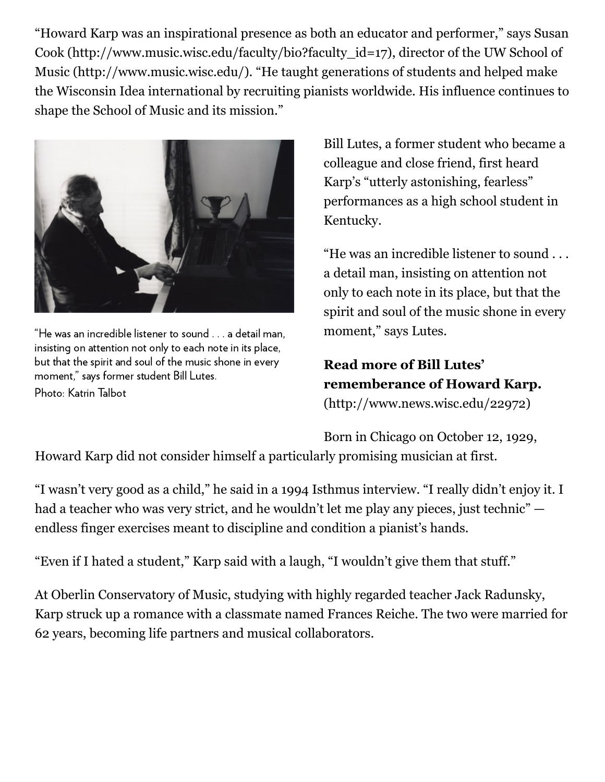"Howard Karp was an inspirational presence as both an educator and performer," says Susan Cook [\(http://www.music.wisc.edu/faculty/bio?faculty\\_id=17\),](http://www.music.wisc.edu/faculty/bio?faculty_id=17) director of the UW School of Music (http://www.music.wisc.edu/). "He taught generations of students and helped make the Wisconsin Idea international by recruiting pianists worldwide. His influence continues to shape the School of Music and its mission."



"He was an incredible listener to sound . . . a detail man, insisting on attention not only to each note in its place, but that the spirit and soul of the music shone in every moment," says former student Bill Lutes. Photo: Katrin Talbot

Bill Lutes, a former student who became a colleague and close friend, first heard Karp's "utterly astonishing, fearless" performances as a high school student in Kentucky.

"He was an incredible listener to sound . . . a detail man, insisting on attention not only to each note in its place, but that the spirit and soul of the music shone in every moment," says Lutes.

**Read more of Bill Lutes' [rememberance of Howard Karp.](http://www.news.wisc.edu/22972)** (http://www.news.wisc.edu/22972)

Born in Chicago on October 12, 1929,

Howard Karp did not consider himself a particularly promising musician at first.

"I wasn't very good as a child," he said in a 1994 Isthmus interview. "I really didn't enjoy it. I had a teacher who was very strict, and he wouldn't let me play any pieces, just technic" endless finger exercises meant to discipline and condition a pianist's hands.

"Even if I hated a student," Karp said with a laugh, "I wouldn't give them that stuff."

At Oberlin Conservatory of Music, studying with highly regarded teacher Jack Radunsky, Karp struck up a romance with a classmate named Frances Reiche. The two were married for 62 years, becoming life partners and musical collaborators.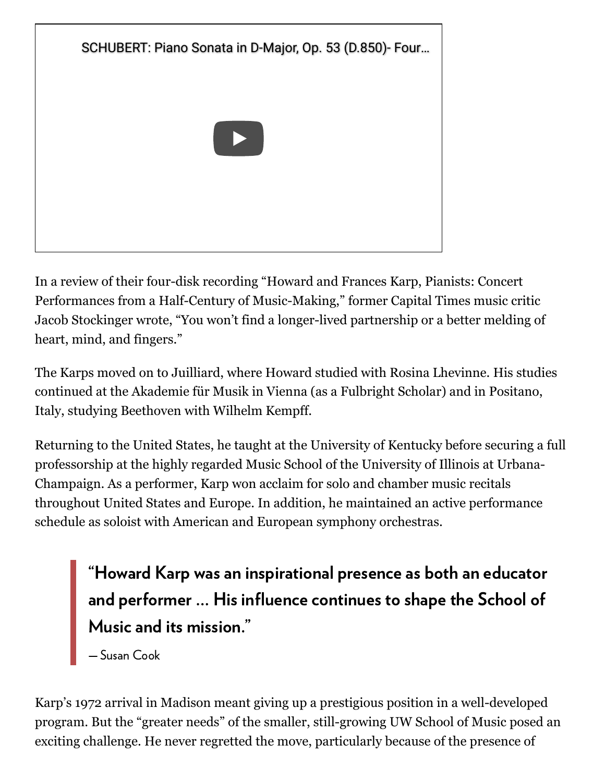

In a review of their four-disk recording "Howard and Frances Karp, Pianists: Concert Performances from a Half-Century of Music-Making," former Capital Times music critic Jacob Stockinger wrote, "You won't find a longer-lived partnership or a better melding of heart, mind, and fingers."

The Karps moved on to Juilliard, where Howard studied with Rosina Lhevinne. His studies continued at the Akademie für Musik in Vienna (as a Fulbright Scholar) and in Positano, Italy, studying Beethoven with Wilhelm Kempff.

Returning to the United States, he taught at the University of Kentucky before securing a full professorship at the highly regarded Music School of the University of Illinois at Urbana-Champaign. As a performer, Karp won acclaim for solo and chamber music recitals throughout United States and Europe. In addition, he maintained an active performance schedule as soloist with American and European symphony orchestras.

"Howard Karp was an inspirational presence as both an educator and performer … His influence continues to shape the School of Music and its mission."

— Susan Cook

Karp's 1972 arrival in Madison meant giving up a prestigious position in a well-developed program. But the "greater needs" of the smaller, still-growing UW School of Music posed an exciting challenge. He never regretted the move, particularly because of the presence of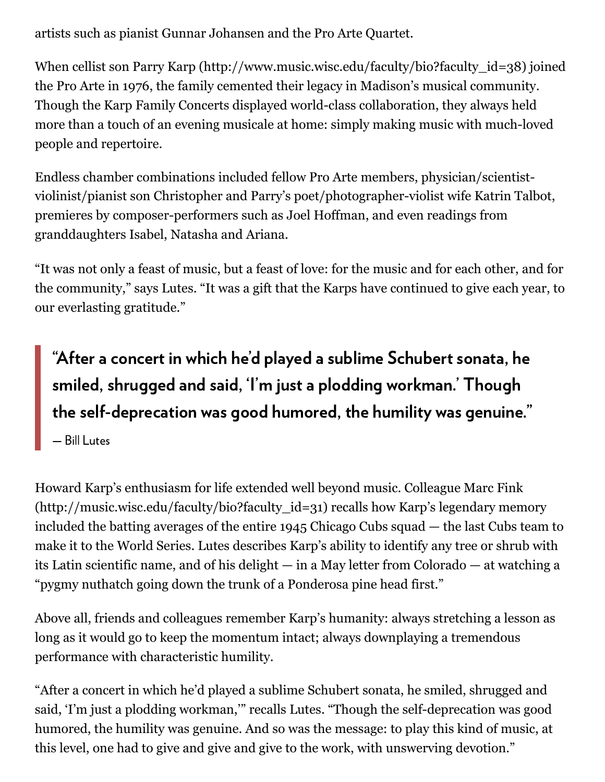artists such as pianist Gunnar Johansen and the Pro Arte Quartet.

When cellist son Parry Karp [\(http://www.music.wisc.edu/faculty/bio?faculty\\_id=38\)](http://www.music.wisc.edu/faculty/bio?faculty_id=38) joined the Pro Arte in 1976, the family cemented their legacy in Madison's musical community. Though the Karp Family Concerts displayed world-class collaboration, they always held more than a touch of an evening musicale at home: simply making music with much-loved people and repertoire.

Endless chamber combinations included fellow Pro Arte members, physician/scientistviolinist/pianist son Christopher and Parry's poet/photographer-violist wife Katrin Talbot, premieres by composer-performers such as Joel Hoffman, and even readings from granddaughters Isabel, Natasha and Ariana.

"It was not only a feast of music, but a feast of love: for the music and for each other, and for the community," says Lutes. "It was a gift that the Karps have continued to give each year, to our everlasting gratitude."

## "After a concert in which he'd played a sublime Schubert sonata, he smiled, shrugged and said, 'I'm just a plodding workman.' Though the self-deprecation was good humored, the humility was genuine."

— Bill Lutes

Howard Karp's enthusiasm for life extended well beyond music. Colleague Marc Fink [\(http://music.wisc.edu/faculty/bio?faculty\\_id=31\)](http://music.wisc.edu/faculty/bio?faculty_id=31) recalls how Karp's legendary memory included the batting averages of the entire 1945 Chicago Cubs squad — the last Cubs team to make it to the World Series. Lutes describes Karp's ability to identify any tree or shrub with its Latin scientific name, and of his delight — in a May letter from Colorado — at watching a "pygmy nuthatch going down the trunk of a Ponderosa pine head first."

Above all, friends and colleagues remember Karp's humanity: always stretching a lesson as long as it would go to keep the momentum intact; always downplaying a tremendous performance with characteristic humility.

"After a concert in which he'd played a sublime Schubert sonata, he smiled, shrugged and said, 'I'm just a plodding workman,'" recalls Lutes. "Though the self-deprecation was good humored, the humility was genuine. And so was the message: to play this kind of music, at this level, one had to give and give and give to the work, with unswerving devotion."